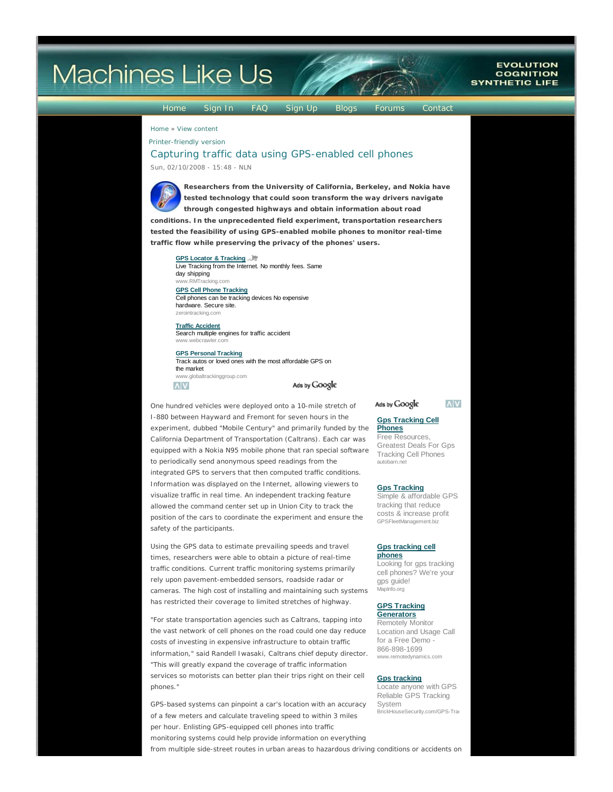# **Machines Like Us**

#### Home Sign In FAQ Sign Up Blogs Forums Contact

**EVOLUTION** 

**COGNITION SYNTHETIC LIFE** 

Home » View content

Printer-friendly version

# Capturing traffic data using GPS-enabled cell phones Sun, 02/10/2008 - 15:48 - NLN



**Researchers from the University of California, Berkeley, and Nokia have tested technology that could soon transform the way drivers navigate through congested highways and obtain information about road conditions. In the unprecedented field experiment, transportation researchers**

**tested the feasibility of using GPS-enabled mobile phones to monitor real-time traffic flow while preserving the privacy of the phones' users.**

## **GPS Locator & Tracking**

Live Tracking from the Internet. No monthly fees. Same day shipping ww.RMT

**GPS Cell Phone Tracking** Cell phones can be tracking devices No expensive hardware. Secure site. zerointracking.com

**Traffic Accident** Search multiple engines for traffic accident www.webcrawler.com

**GPS Personal Tracking**

Track autos or loved ones with the most affordable GPS on the market www.globaltrackinggroup.com



Ads by Google

One hundred vehicles were deployed onto a 10-mile stretch of I-880 between Hayward and Fremont for seven hours in the experiment, dubbed "Mobile Century" and primarily funded by the California Department of Transportation (Caltrans). Each car was equipped with a Nokia N95 mobile phone that ran special software to periodically send anonymous speed readings from the integrated GPS to servers that then computed traffic conditions. Information was displayed on the Internet, allowing viewers to visualize traffic in real time. An independent tracking feature allowed the command center set up in Union City to track the position of the cars to coordinate the experiment and ensure the safety of the participants.

Using the GPS data to estimate prevailing speeds and travel times, researchers were able to obtain a picture of real-time traffic conditions. Current traffic monitoring systems primarily rely upon pavement-embedded sensors, roadside radar or cameras. The high cost of installing and maintaining such systems has restricted their coverage to limited stretches of highway.

"For state transportation agencies such as Caltrans, tapping into the vast network of cell phones on the road could one day reduce costs of investing in expensive infrastructure to obtain traffic information," said Randell Iwasaki, Caltrans chief deputy director. "This will greatly expand the coverage of traffic information services so motorists can better plan their trips right on their cell phones."

GPS-based systems can pinpoint a car's location with an accuracy of a few meters and calculate traveling speed to within 3 miles per hour. Enlisting GPS-equipped cell phones into traffic monitoring systems could help provide information on everything from multiple side-street routes in urban areas to hazardous driving conditions or accidents on

#### Ads by Google

#### **Gps Tracking Cell Phones**

Free Resources, Greatest Deals For Gps Tracking Cell Phones autobarn.net

**Gps Tracking**

Simple & affordable GPS tracking that reduce costs & increase profit GPSFleetManagement.biz

## **Gps tracking cell**

**phones** Looking for gps tracking cell phones? We're your gps guide! MapInfo.org

#### **GPS Tracking Generators**

Remotely Monitor Location and Usage Call for a Free Demo - 866-898-1699 www.remotedynamics.com

#### **Gps tracking**

Locate anyone with GPS Reliable GPS Tracking System BrickHouseSecurity.com/GPS-Trac

**AV**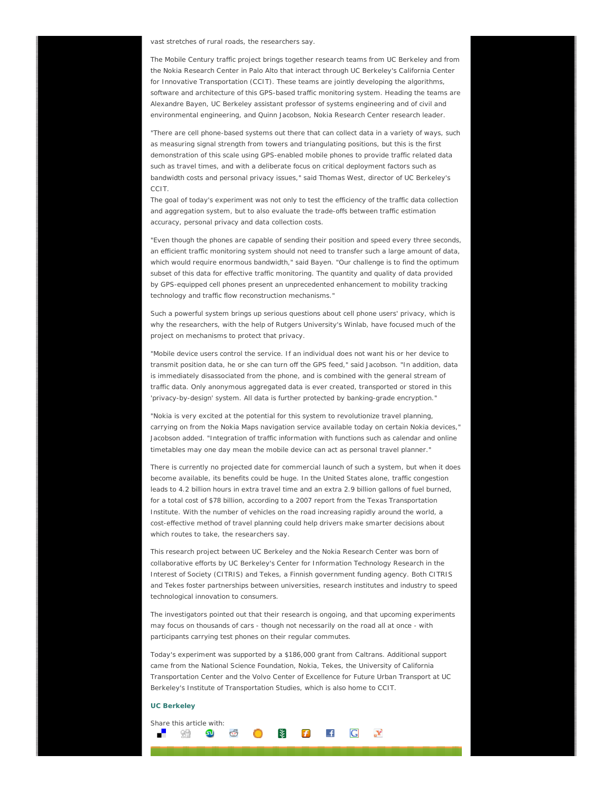vast stretches of rural roads, the researchers say.

The Mobile Century traffic project brings together research teams from UC Berkeley and from the Nokia Research Center in Palo Alto that interact through UC Berkeley's California Center for Innovative Transportation (CCIT). These teams are jointly developing the algorithms, software and architecture of this GPS-based traffic monitoring system. Heading the teams are Alexandre Bayen, UC Berkeley assistant professor of systems engineering and of civil and environmental engineering, and Quinn Jacobson, Nokia Research Center research leader.

"There are cell phone-based systems out there that can collect data in a variety of ways, such as measuring signal strength from towers and triangulating positions, but this is the first demonstration of this scale using GPS-enabled mobile phones to provide traffic related data such as travel times, and with a deliberate focus on critical deployment factors such as bandwidth costs and personal privacy issues," said Thomas West, director of UC Berkeley's CCIT.

The goal of today's experiment was not only to test the efficiency of the traffic data collection and aggregation system, but to also evaluate the trade-offs between traffic estimation accuracy, personal privacy and data collection costs.

"Even though the phones are capable of sending their position and speed every three seconds, an efficient traffic monitoring system should not need to transfer such a large amount of data, which would require enormous bandwidth," said Bayen. "Our challenge is to find the optimum subset of this data for effective traffic monitoring. The quantity and quality of data provided by GPS-equipped cell phones present an unprecedented enhancement to mobility tracking technology and traffic flow reconstruction mechanisms."

Such a powerful system brings up serious questions about cell phone users' privacy, which is why the researchers, with the help of Rutgers University's Winlab, have focused much of the project on mechanisms to protect that privacy.

"Mobile device users control the service. If an individual does not want his or her device to transmit position data, he or she can turn off the GPS feed," said Jacobson. "In addition, data is immediately disassociated from the phone, and is combined with the general stream of traffic data. Only anonymous aggregated data is ever created, transported or stored in this 'privacy-by-design' system. All data is further protected by banking-grade encryption."

"Nokia is very excited at the potential for this system to revolutionize travel planning, carrying on from the Nokia Maps navigation service available today on certain Nokia devices," Jacobson added. "Integration of traffic information with functions such as calendar and online timetables may one day mean the mobile device can act as personal travel planner."

There is currently no projected date for commercial launch of such a system, but when it does become available, its benefits could be huge. In the United States alone, traffic congestion leads to 4.2 billion hours in extra travel time and an extra 2.9 billion gallons of fuel burned, for a total cost of \$78 billion, according to a 2007 report from the Texas Transportation Institute. With the number of vehicles on the road increasing rapidly around the world, a cost-effective method of travel planning could help drivers make smarter decisions about which routes to take, the researchers say.

This research project between UC Berkeley and the Nokia Research Center was born of collaborative efforts by UC Berkeley's Center for Information Technology Research in the Interest of Society (CITRIS) and Tekes, a Finnish government funding agency. Both CITRIS and Tekes foster partnerships between universities, research institutes and industry to speed technological innovation to consumers.

The investigators pointed out that their research is ongoing, and that upcoming experiments may focus on thousands of cars - though not necessarily on the road all at once - with participants carrying test phones on their regular commutes.

Today's experiment was supported by a \$186,000 grant from Caltrans. Additional support came from the National Science Foundation, Nokia, Tekes, the University of California Transportation Center and the Volvo Center of Excellence for Future Urban Transport at UC Berkeley's Institute of Transportation Studies, which is also home to CCIT.

#### **UC Berkeley**